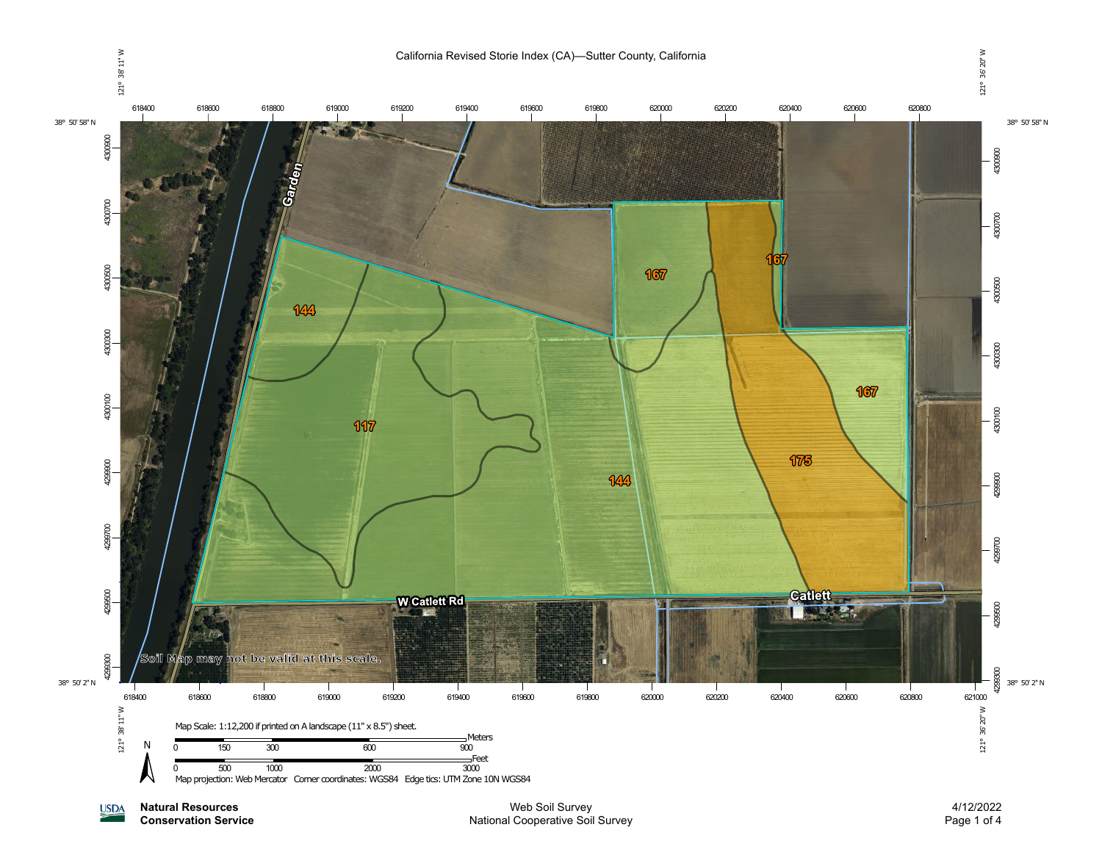

**Natural Resources USDA** 

**Conservation Service**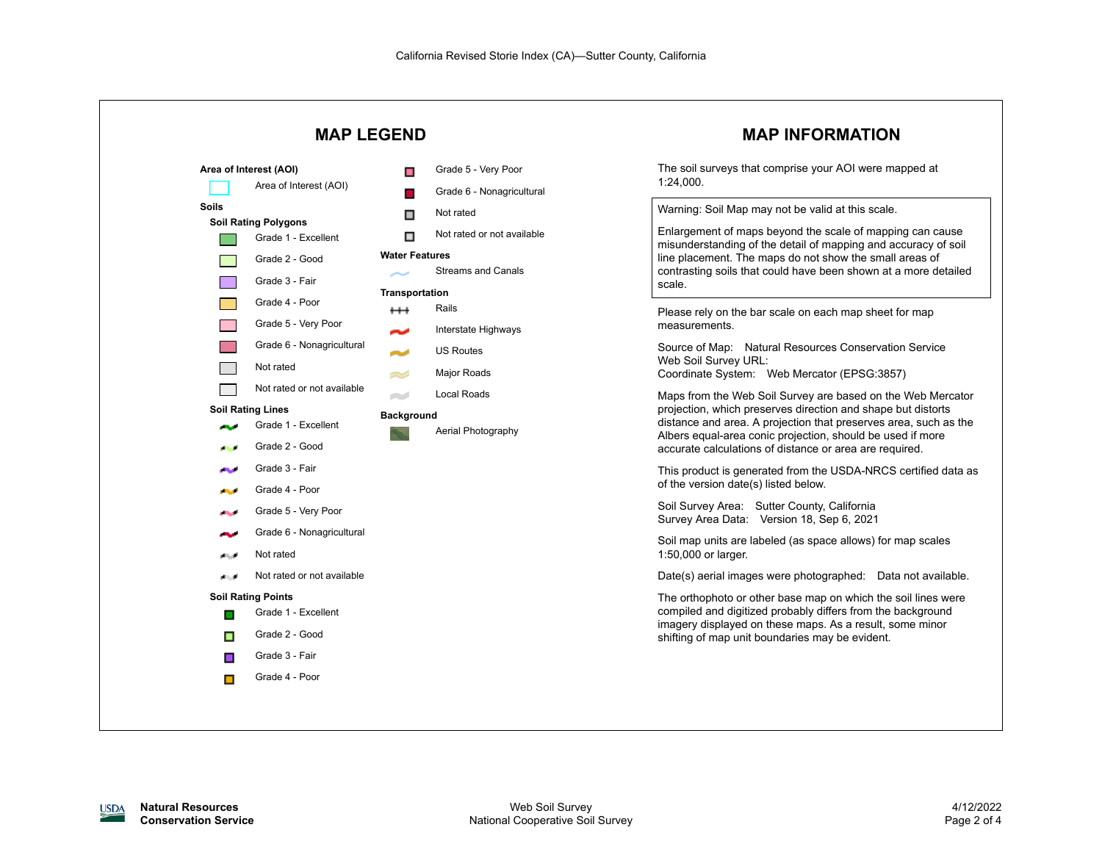

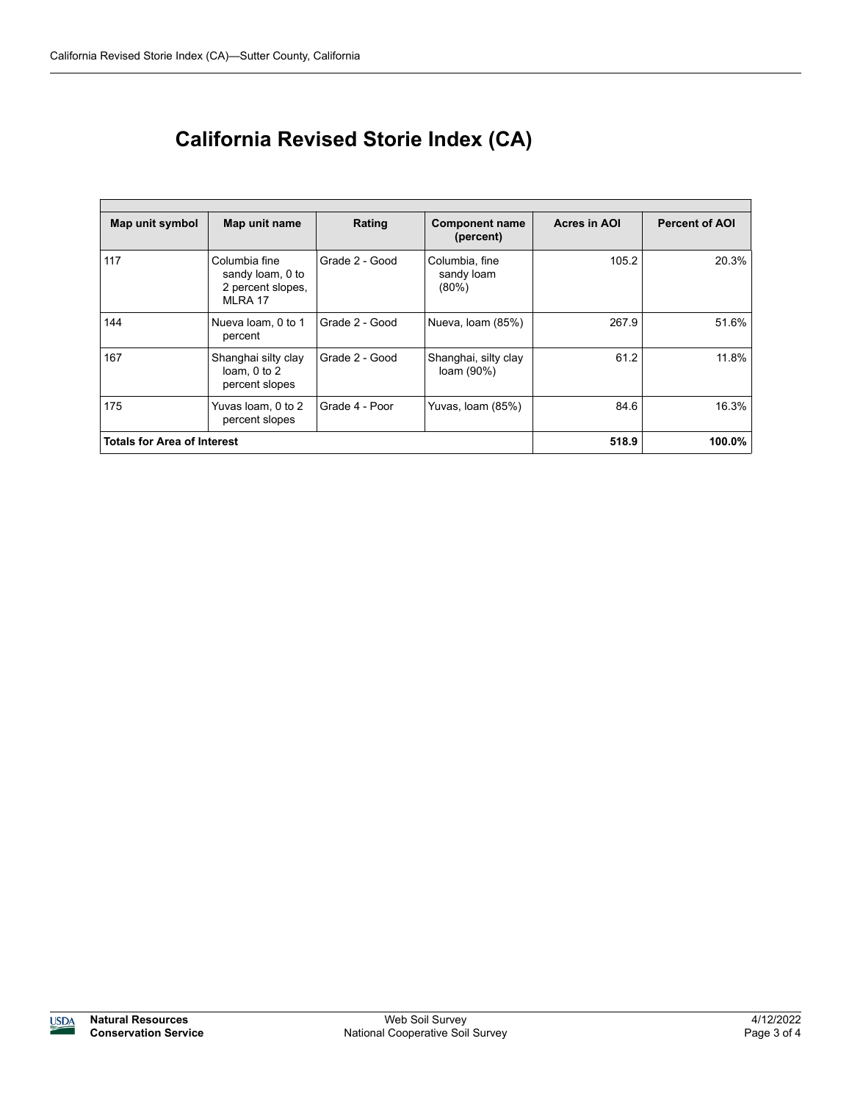| Map unit symbol                    | Map unit name                                                     | Rating         | <b>Component name</b><br>(percent)       | <b>Acres in AOI</b> | <b>Percent of AOI</b> |
|------------------------------------|-------------------------------------------------------------------|----------------|------------------------------------------|---------------------|-----------------------|
| 117                                | Columbia fine<br>sandy loam, 0 to<br>2 percent slopes,<br>MLRA 17 | Grade 2 - Good | Columbia, fine<br>sandy loam<br>$(80\%)$ | 105.2               | 20.3%                 |
| 144                                | Nueva loam, 0 to 1<br>percent                                     | Grade 2 - Good | Nueva, Ioam (85%)                        | 267.9               | 51.6%                 |
| 167                                | Shanghai silty clay<br>loam, $0$ to $2$<br>percent slopes         | Grade 2 - Good | Shanghai, silty clay<br>loam (90%)       | 61.2                | 11.8%                 |
| 175                                | Yuvas loam, 0 to 2<br>percent slopes                              | Grade 4 - Poor | Yuvas, Ioam (85%)                        | 84.6                | 16.3%                 |
| <b>Totals for Area of Interest</b> |                                                                   |                |                                          | 518.9               | 100.0%                |

## **California Revised Storie Index (CA)**